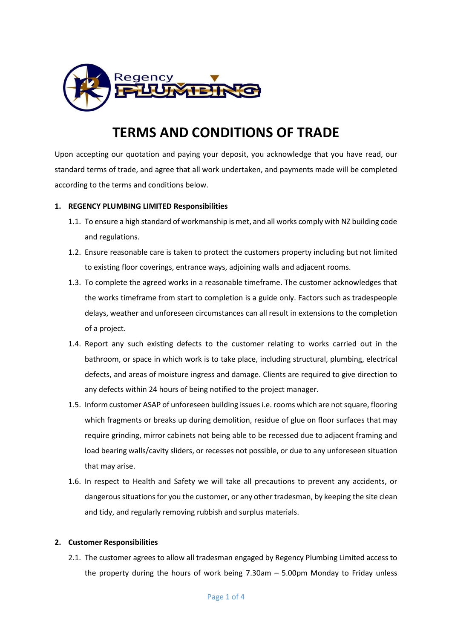

# **TERMS AND CONDITIONS OF TRADE**

Upon accepting our quotation and paying your deposit, you acknowledge that you have read, our standard terms of trade, and agree that all work undertaken, and payments made will be completed according to the terms and conditions below.

# **1. REGENCY PLUMBING LIMITED Responsibilities**

- 1.1. To ensure a high standard of workmanship is met, and all works comply with NZ building code and regulations.
- 1.2. Ensure reasonable care is taken to protect the customers property including but not limited to existing floor coverings, entrance ways, adjoining walls and adjacent rooms.
- 1.3. To complete the agreed works in a reasonable timeframe. The customer acknowledges that the works timeframe from start to completion is a guide only. Factors such as tradespeople delays, weather and unforeseen circumstances can all result in extensions to the completion of a project.
- 1.4. Report any such existing defects to the customer relating to works carried out in the bathroom, or space in which work is to take place, including structural, plumbing, electrical defects, and areas of moisture ingress and damage. Clients are required to give direction to any defects within 24 hours of being notified to the project manager.
- 1.5. Inform customer ASAP of unforeseen building issues i.e. rooms which are not square, flooring which fragments or breaks up during demolition, residue of glue on floor surfaces that may require grinding, mirror cabinets not being able to be recessed due to adjacent framing and load bearing walls/cavity sliders, or recesses not possible, or due to any unforeseen situation that may arise.
- 1.6. In respect to Health and Safety we will take all precautions to prevent any accidents, or dangerous situations for you the customer, or any other tradesman, by keeping the site clean and tidy, and regularly removing rubbish and surplus materials.

#### **2. Customer Responsibilities**

2.1. The customer agrees to allow all tradesman engaged by Regency Plumbing Limited access to the property during the hours of work being 7.30am – 5.00pm Monday to Friday unless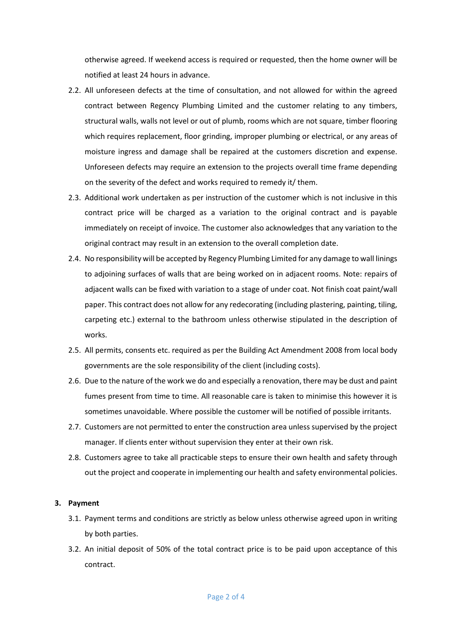otherwise agreed. If weekend access is required or requested, then the home owner will be notified at least 24 hours in advance.

- 2.2. All unforeseen defects at the time of consultation, and not allowed for within the agreed contract between Regency Plumbing Limited and the customer relating to any timbers, structural walls, walls not level or out of plumb, rooms which are not square, timber flooring which requires replacement, floor grinding, improper plumbing or electrical, or any areas of moisture ingress and damage shall be repaired at the customers discretion and expense. Unforeseen defects may require an extension to the projects overall time frame depending on the severity of the defect and works required to remedy it/ them.
- 2.3. Additional work undertaken as per instruction of the customer which is not inclusive in this contract price will be charged as a variation to the original contract and is payable immediately on receipt of invoice. The customer also acknowledges that any variation to the original contract may result in an extension to the overall completion date.
- 2.4. No responsibility will be accepted by Regency Plumbing Limited for any damage to wall linings to adjoining surfaces of walls that are being worked on in adjacent rooms. Note: repairs of adjacent walls can be fixed with variation to a stage of under coat. Not finish coat paint/wall paper. This contract does not allow for any redecorating (including plastering, painting, tiling, carpeting etc.) external to the bathroom unless otherwise stipulated in the description of works.
- 2.5. All permits, consents etc. required as per the Building Act Amendment 2008 from local body governments are the sole responsibility of the client (including costs).
- 2.6. Due to the nature of the work we do and especially a renovation, there may be dust and paint fumes present from time to time. All reasonable care is taken to minimise this however it is sometimes unavoidable. Where possible the customer will be notified of possible irritants.
- 2.7. Customers are not permitted to enter the construction area unless supervised by the project manager. If clients enter without supervision they enter at their own risk.
- 2.8. Customers agree to take all practicable steps to ensure their own health and safety through out the project and cooperate in implementing our health and safety environmental policies.

### **3. Payment**

- 3.1. Payment terms and conditions are strictly as below unless otherwise agreed upon in writing by both parties.
- 3.2. An initial deposit of 50% of the total contract price is to be paid upon acceptance of this contract.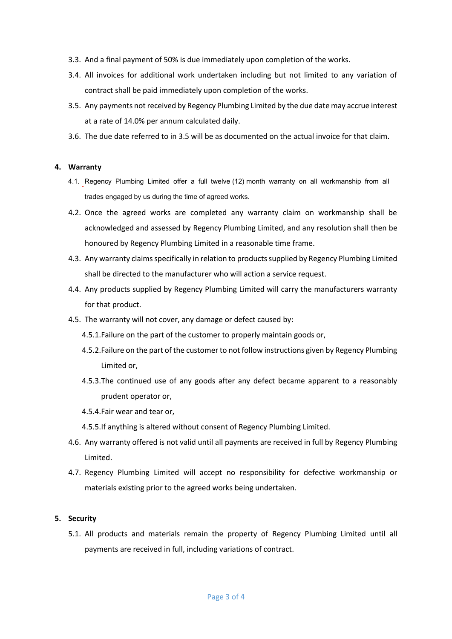- 3.3. And a final payment of 50% is due immediately upon completion of the works.
- 3.4. All invoices for additional work undertaken including but not limited to any variation of contract shall be paid immediately upon completion of the works.
- 3.5. Any payments not received by Regency Plumbing Limited by the due date may accrue interest at a rate of 14.0% per annum calculated daily.
- 3.6. The due date referred to in 3.5 will be as documented on the actual invoice for that claim.

#### **4. Warranty**

- 4.1. Regency Plumbing Limited offer a full twelve (12) month warranty on all workmanship from all trades engaged by us during the time of agreed works. trades engaged by us during the time of agreed works.
- 4.2. Once the agreed works are completed any warranty claim on workmanship shall be acknowledged and assessed by Regency Plumbing Limited, and any resolution shall then be honoured by Regency Plumbing Limited in a reasonable time frame.
- 4.3. Any warranty claims specifically in relation to products supplied by Regency Plumbing Limited shall be directed to the manufacturer who will action a service request.
- 4.4. Any products supplied by Regency Plumbing Limited will carry the manufacturers warranty for that product.
- 4.5. The warranty will not cover, any damage or defect caused by:
	- 4.5.1.Failure on the part of the customer to properly maintain goods or,
	- 4.5.2.Failure on the part of the customer to not follow instructions given by Regency Plumbing Limited or,
	- 4.5.3.The continued use of any goods after any defect became apparent to a reasonably prudent operator or,
	- 4.5.4.Fair wear and tear or,
	- 4.5.5.If anything is altered without consent of Regency Plumbing Limited.
- 4.6. Any warranty offered is not valid until all payments are received in full by Regency Plumbing Limited.
- 4.7. Regency Plumbing Limited will accept no responsibility for defective workmanship or materials existing prior to the agreed works being undertaken.

# **5. Security**

5.1. All products and materials remain the property of Regency Plumbing Limited until all payments are received in full, including variations of contract.